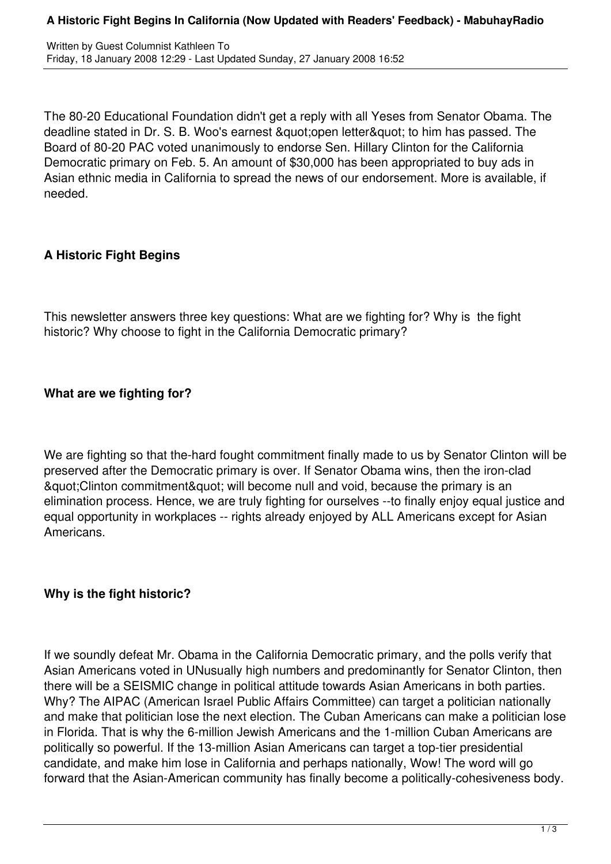The 80-20 Educational Foundation didn't get a reply with all Yeses from Senator Obama. The deadline stated in Dr. S. B. Woo's earnest & quot: open letter & quot; to him has passed. The Board of 80-20 PAC voted unanimously to endorse Sen. Hillary Clinton for the California Democratic primary on Feb. 5. An amount of \$30,000 has been appropriated to buy ads in Asian ethnic media in California to spread the news of our endorsement. More is available, if needed.

## **A Historic Fight Begins**

This newsletter answers three key questions: What are we fighting for? Why is the fight historic? Why choose to fight in the California Democratic primary?

# **What are we fighting for?**

We are fighting so that the-hard fought commitment finally made to us by Senator Clinton will be preserved after the Democratic primary is over. If Senator Obama wins, then the iron-clad & quot; Clinton commitment & quot; will become null and void, because the primary is an elimination process. Hence, we are truly fighting for ourselves --to finally enjoy equal justice and equal opportunity in workplaces -- rights already enjoyed by ALL Americans except for Asian Americans.

## **Why is the fight historic?**

If we soundly defeat Mr. Obama in the California Democratic primary, and the polls verify that Asian Americans voted in UNusually high numbers and predominantly for Senator Clinton, then there will be a SEISMIC change in political attitude towards Asian Americans in both parties. Why? The AIPAC (American Israel Public Affairs Committee) can target a politician nationally and make that politician lose the next election. The Cuban Americans can make a politician lose in Florida. That is why the 6-million Jewish Americans and the 1-million Cuban Americans are politically so powerful. If the 13-million Asian Americans can target a top-tier presidential candidate, and make him lose in California and perhaps nationally, Wow! The word will go forward that the Asian-American community has finally become a politically-cohesiveness body.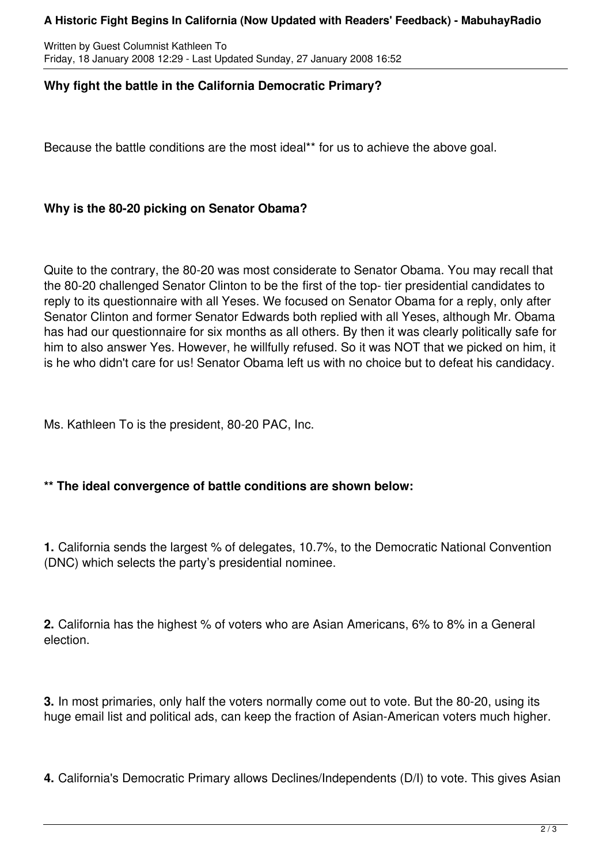#### **A Historic Fight Begins In California (Now Updated with Readers' Feedback) - MabuhayRadio**

Written by Guest Columnist Kathleen To Friday, 18 January 2008 12:29 - Last Updated Sunday, 27 January 2008 16:52

### **Why fight the battle in the California Democratic Primary?**

Because the battle conditions are the most ideal\*\* for us to achieve the above goal.

#### **Why is the 80-20 picking on Senator Obama?**

Quite to the contrary, the 80-20 was most considerate to Senator Obama. You may recall that the 80-20 challenged Senator Clinton to be the first of the top- tier presidential candidates to reply to its questionnaire with all Yeses. We focused on Senator Obama for a reply, only after Senator Clinton and former Senator Edwards both replied with all Yeses, although Mr. Obama has had our questionnaire for six months as all others. By then it was clearly politically safe for him to also answer Yes. However, he willfully refused. So it was NOT that we picked on him, it is he who didn't care for us! Senator Obama left us with no choice but to defeat his candidacy.

Ms. Kathleen To is the president, 80-20 PAC, Inc.

### **\*\* The ideal convergence of battle conditions are shown below:**

**1.** California sends the largest % of delegates, 10.7%, to the Democratic National Convention (DNC) which selects the party's presidential nominee.

**2.** California has the highest % of voters who are Asian Americans, 6% to 8% in a General election.

**3.** In most primaries, only half the voters normally come out to vote. But the 80-20, using its huge email list and political ads, can keep the fraction of Asian-American voters much higher.

**4.** California's Democratic Primary allows Declines/Independents (D/I) to vote. This gives Asian